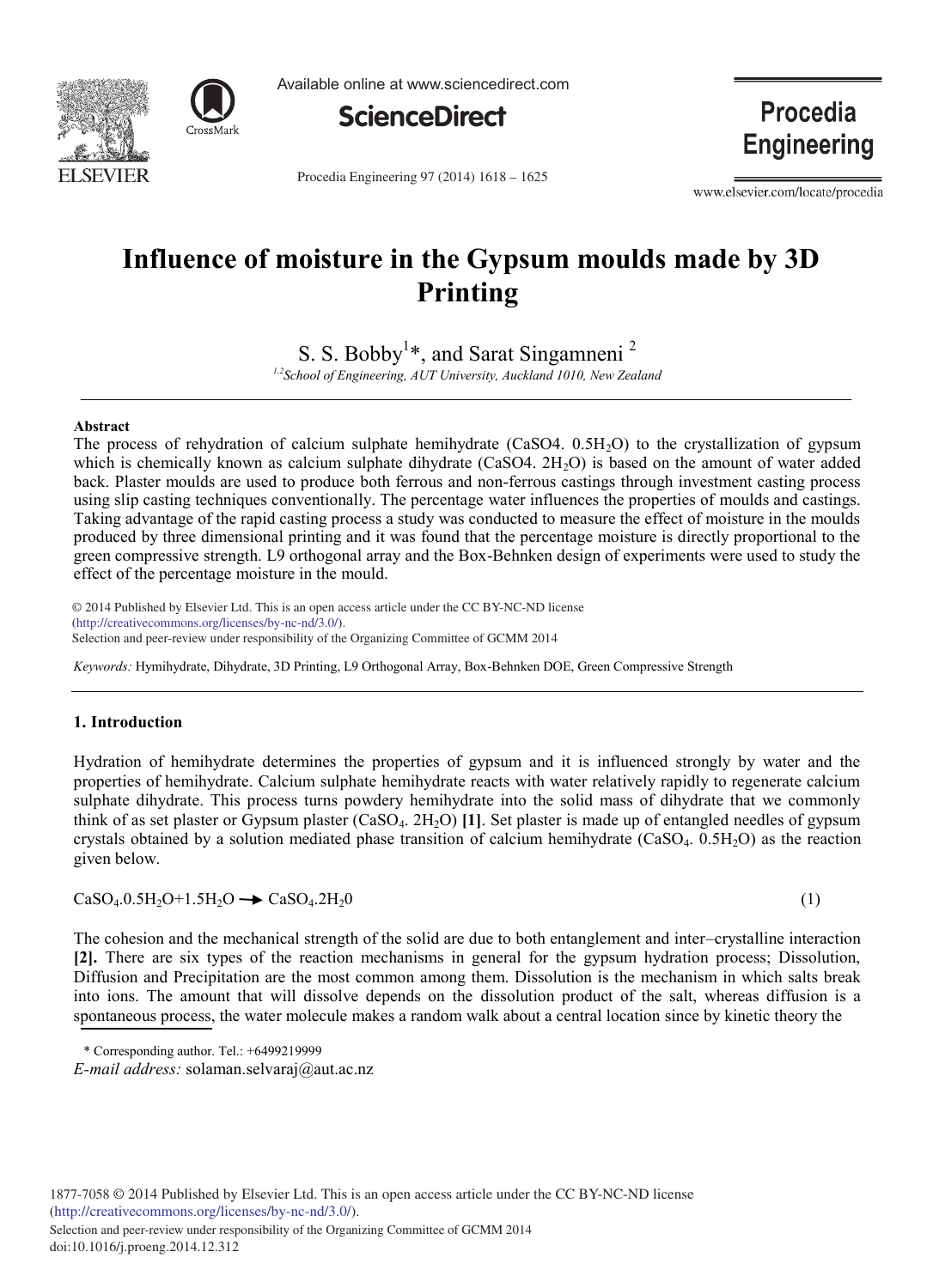

Available online at www.sciencedirect.com



**Procedia Engineering** 

Procedia Engineering 97 (2014) 1618 - 1625

www.elsevier.com/locate/procedia

# **Influence of moisture in the Gypsum moulds made by 3D Printing**

S. S. Bobby<sup>1</sup>\*, and Sarat Singamneni<sup>2</sup>

*1,2School of Engineering, AUT University, Auckland 1010, New Zealand*

### **Abstract**

The process of rehydration of calcium sulphate hemihydrate (CaSO4. 0.5H<sub>2</sub>O) to the crystallization of gypsum which is chemically known as calcium sulphate dihydrate  $(CaSO4, 2H<sub>2</sub>O)$  is based on the amount of water added back. Plaster moulds are used to produce both ferrous and non-ferrous castings through investment casting process using slip casting techniques conventionally. The percentage water influences the properties of moulds and castings. Taking advantage of the rapid casting process a study was conducted to measure the effect of moisture in the moulds produced by three dimensional printing and it was found that the percentage moisture is directly proportional to the green compressive strength. L9 orthogonal array and the Box-Behnken design of experiments were used to study the effect of the percentage moisture in the mould.

© 2014 Published by Elsevier Ltd. This is an open access article under the CC BY-NC-ND license Selection and peer-review under responsibility of the Organizing Committee of GCMM 2014. Selection and peer-review under responsibility of the Organizing Committee of GCMM 2014(http://creativecommons.org/licenses/by-nc-nd/3.0/).

*Keywords:* Hymihydrate, Dihydrate, 3D Printing, L9 Orthogonal Array, Box-Behnken DOE, Green Compressive Strength

## **1. Introduction**

Hydration of hemihydrate determines the properties of gypsum and it is influenced strongly by water and the properties of hemihydrate. Calcium sulphate hemihydrate reacts with water relatively rapidly to regenerate calcium sulphate dihydrate. This process turns powdery hemihydrate into the solid mass of dihydrate that we commonly think of as set plaster or Gypsum plaster (CaSO<sub>4</sub>. 2H<sub>2</sub>O) [1]. Set plaster is made up of entangled needles of gypsum crystals obtained by a solution mediated phase transition of calcium hemihydrate (CaSO<sub>4</sub>. 0.5H<sub>2</sub>O) as the reaction given below.

$$
CaSO_4.0.5H_2O + 1.5H_2O \longrightarrow CaSO_4.2H_2O \tag{1}
$$

The cohesion and the mechanical strength of the solid are due to both entanglement and inter–crystalline interaction **[2].** There are six types of the reaction mechanisms in general for the gypsum hydration process; Dissolution, Diffusion and Precipitation are the most common among them. Dissolution is the mechanism in which salts break into ions. The amount that will dissolve depends on the dissolution product of the salt, whereas diffusion is a spontaneous process, the water molecule makes a random walk about a central location since by kinetic theory the

<sup>\*</sup> Corresponding author. Tel.: +6499219999

*E-mail address:* solaman.selvaraj@aut.ac.nz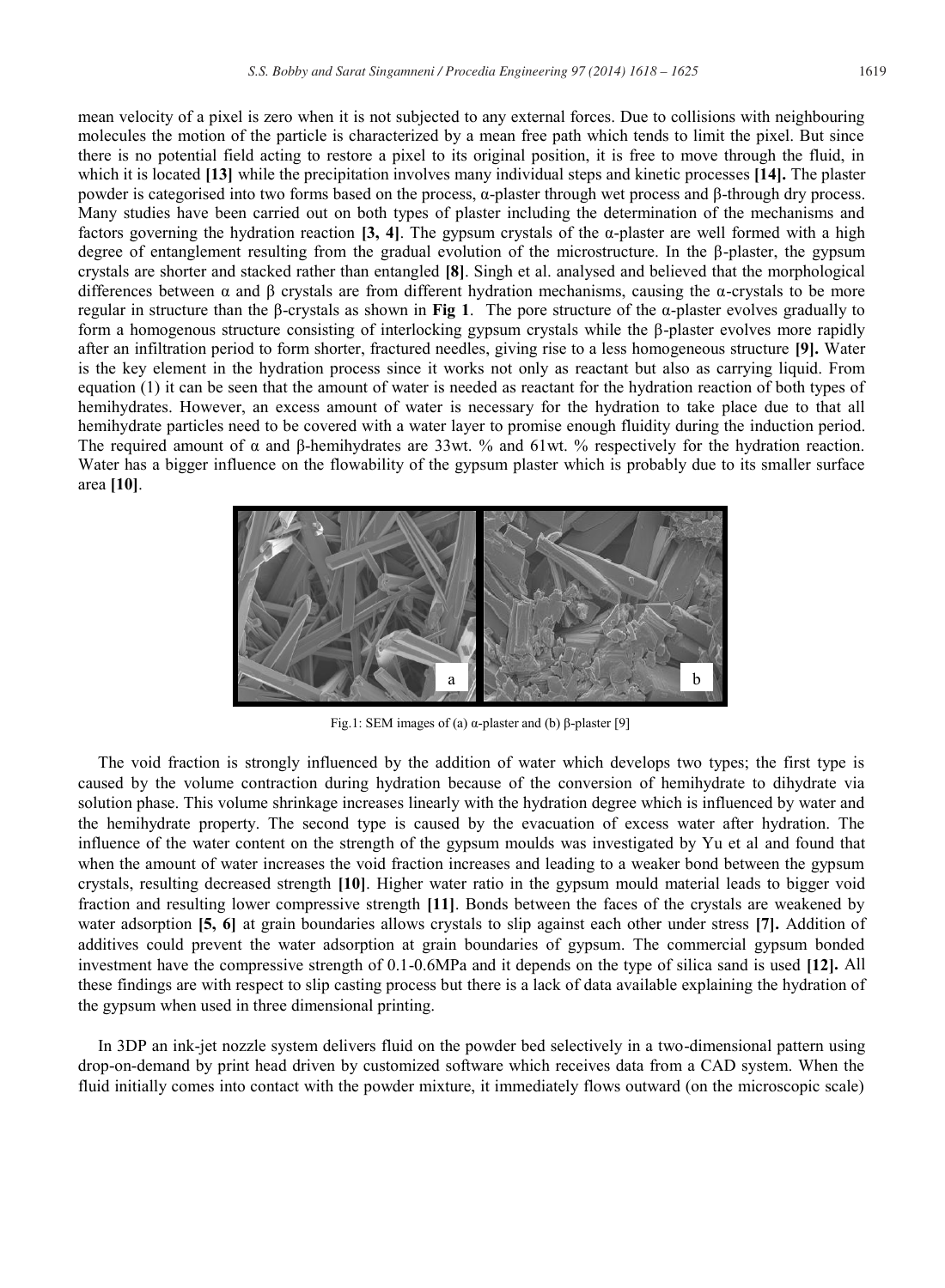mean velocity of a pixel is zero when it is not subjected to any external forces. Due to collisions with neighbouring molecules the motion of the particle is characterized by a mean free path which tends to limit the pixel. But since there is no potential field acting to restore a pixel to its original position, it is free to move through the fluid, in which it is located **[13]** while the precipitation involves many individual steps and kinetic processes **[14].** The plaster powder is categorised into two forms based on the process, α-plaster through wet process and β-through dry process. Many studies have been carried out on both types of plaster including the determination of the mechanisms and factors governing the hydration reaction **[3, 4]**. The gypsum crystals of the  $\alpha$ -plaster are well formed with a high degree of entanglement resulting from the gradual evolution of the microstructure. In the β-plaster, the gypsum crystals are shorter and stacked rather than entangled **[8]**. Singh et al. analysed and believed that the morphological differences between  $\alpha$  and  $\beta$  crystals are from different hydration mechanisms, causing the  $\alpha$ -crystals to be more regular in structure than the β-crystals as shown in **Fig 1**.The pore structure of the α-plaster evolves gradually to form a homogenous structure consisting of interlocking gypsum crystals while the β-plaster evolves more rapidly after an infiltration period to form shorter, fractured needles, giving rise to a less homogeneous structure **[9].** Water is the key element in the hydration process since it works not only as reactant but also as carrying liquid. From equation (1) it can be seen that the amount of water is needed as reactant for the hydration reaction of both types of hemihydrates. However, an excess amount of water is necessary for the hydration to take place due to that all hemihydrate particles need to be covered with a water layer to promise enough fluidity during the induction period. The required amount of α and β-hemihydrates are 33wt. % and 61wt. % respectively for the hydration reaction. Water has a bigger influence on the flowability of the gypsum plaster which is probably due to its smaller surface area **[10]**.



Fig.1: SEM images of (a)  $\alpha$ -plaster and (b) β-plaster [9]

The void fraction is strongly influenced by the addition of water which develops two types; the first type is caused by the volume contraction during hydration because of the conversion of hemihydrate to dihydrate via solution phase. This volume shrinkage increases linearly with the hydration degree which is influenced by water and the hemihydrate property. The second type is caused by the evacuation of excess water after hydration. The influence of the water content on the strength of the gypsum moulds was investigated by Yu et al and found that when the amount of water increases the void fraction increases and leading to a weaker bond between the gypsum crystals, resulting decreased strength **[10]**. Higher water ratio in the gypsum mould material leads to bigger void fraction and resulting lower compressive strength **[11]**. Bonds between the faces of the crystals are weakened by water adsorption **[5, 6]** at grain boundaries allows crystals to slip against each other under stress **[7].** Addition of additives could prevent the water adsorption at grain boundaries of gypsum. The commercial gypsum bonded investment have the compressive strength of 0.1-0.6MPa and it depends on the type of silica sand is used **[12].** All these findings are with respect to slip casting process but there is a lack of data available explaining the hydration of the gypsum when used in three dimensional printing.

In 3DP an ink-jet nozzle system delivers fluid on the powder bed selectively in a two-dimensional pattern using drop-on-demand by print head driven by customized software which receives data from a CAD system. When the fluid initially comes into contact with the powder mixture, it immediately flows outward (on the microscopic scale)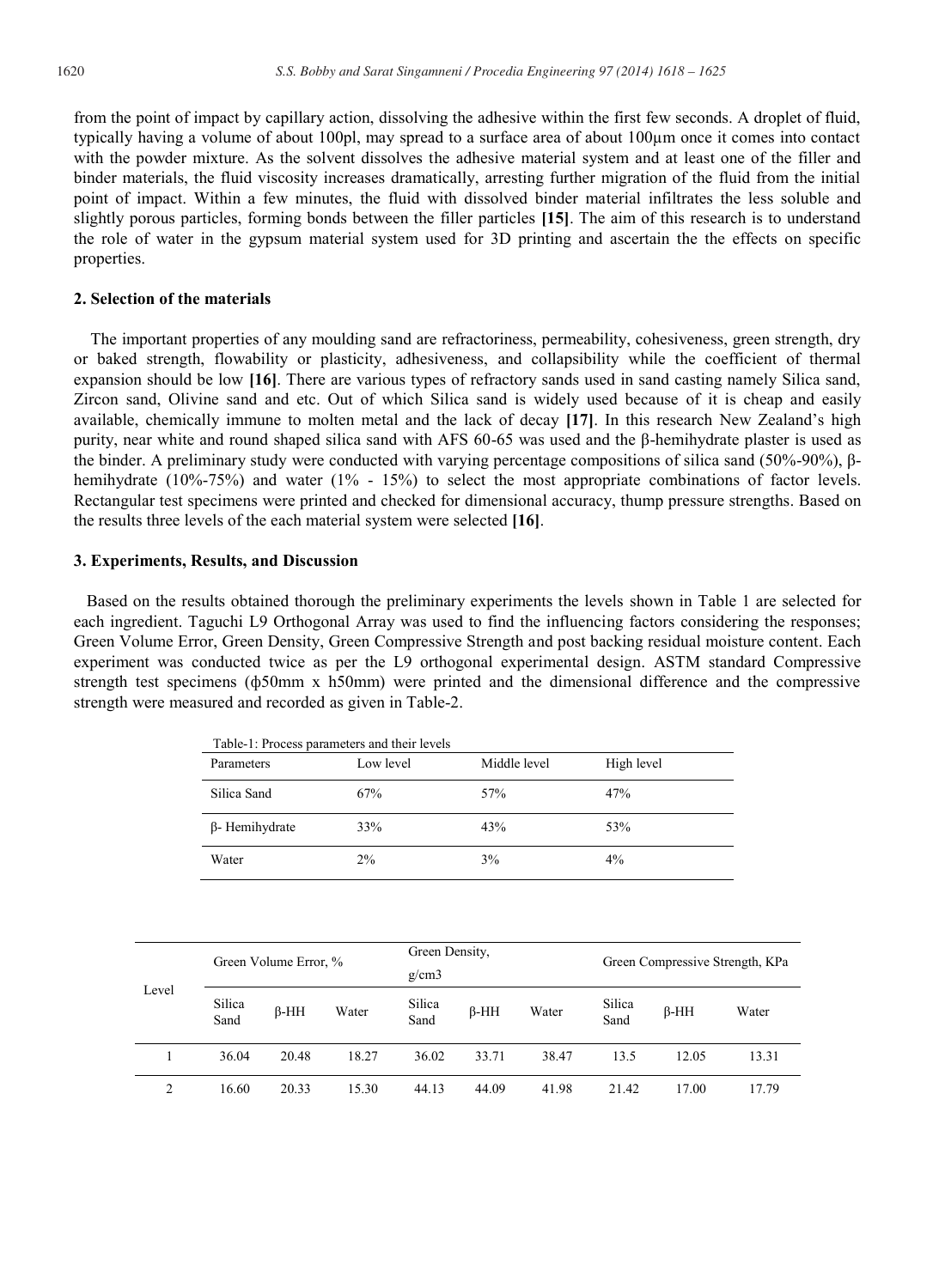from the point of impact by capillary action, dissolving the adhesive within the first few seconds. A droplet of fluid, typically having a volume of about 100pl, may spread to a surface area of about 100μm once it comes into contact with the powder mixture. As the solvent dissolves the adhesive material system and at least one of the filler and binder materials, the fluid viscosity increases dramatically, arresting further migration of the fluid from the initial point of impact. Within a few minutes, the fluid with dissolved binder material infiltrates the less soluble and slightly porous particles, forming bonds between the filler particles **[15]**. The aim of this research is to understand the role of water in the gypsum material system used for 3D printing and ascertain the the effects on specific properties.

### **2. Selection of the materials**

 The important properties of any moulding sand are refractoriness, permeability, cohesiveness, green strength, dry or baked strength, flowability or plasticity, adhesiveness, and collapsibility while the coefficient of thermal expansion should be low **[16]**. There are various types of refractory sands used in sand casting namely Silica sand, Zircon sand, Olivine sand and etc. Out of which Silica sand is widely used because of it is cheap and easily available, chemically immune to molten metal and the lack of decay **[17]**. In this research New Zealand's high purity, near white and round shaped silica sand with AFS 60-65 was used and the β-hemihydrate plaster is used as the binder. A preliminary study were conducted with varying percentage compositions of silica sand (50%-90%), βhemihydrate (10%-75%) and water (1% - 15%) to select the most appropriate combinations of factor levels. Rectangular test specimens were printed and checked for dimensional accuracy, thump pressure strengths. Based on the results three levels of the each material system were selected **[16]**.

### **3. Experiments, Results, and Discussion**

 Based on the results obtained thorough the preliminary experiments the levels shown in Table 1 are selected for each ingredient. Taguchi L9 Orthogonal Array was used to find the influencing factors considering the responses; Green Volume Error, Green Density, Green Compressive Strength and post backing residual moisture content. Each experiment was conducted twice as per the L9 orthogonal experimental design. ASTM standard Compressive strength test specimens (ф50mm x h50mm) were printed and the dimensional difference and the compressive strength were measured and recorded as given in Table-2.

| Table-1: Process parameters and their levels |           |              |            |  |  |  |  |
|----------------------------------------------|-----------|--------------|------------|--|--|--|--|
| Parameters                                   | Low level | Middle level | High level |  |  |  |  |
| Silica Sand                                  | 67%       | 57%          | 47%        |  |  |  |  |
| $\beta$ - Hemihydrate                        | 33%       | 43%          | 53%        |  |  |  |  |
| Water                                        | 2%        | 3%           | $4\%$      |  |  |  |  |

| Level         |                | Green Volume Error, % |       | Green Density, |        |       |                | Green Compressive Strength, KPa |       |  |  |
|---------------|----------------|-----------------------|-------|----------------|--------|-------|----------------|---------------------------------|-------|--|--|
|               |                |                       |       | g/cm3          |        |       |                |                                 |       |  |  |
|               | Silica<br>Sand | $B-HH$                | Water | Silica<br>Sand | $B-HH$ | Water | Silica<br>Sand | $B-HH$                          | Water |  |  |
|               | 36.04          | 20.48                 | 18.27 | 36.02          | 33.71  | 38.47 | 13.5           | 12.05                           | 13.31 |  |  |
| $\mathcal{L}$ | 16.60          | 20.33                 | 15.30 | 44.13          | 44.09  | 41.98 | 21.42          | 17.00                           | 17.79 |  |  |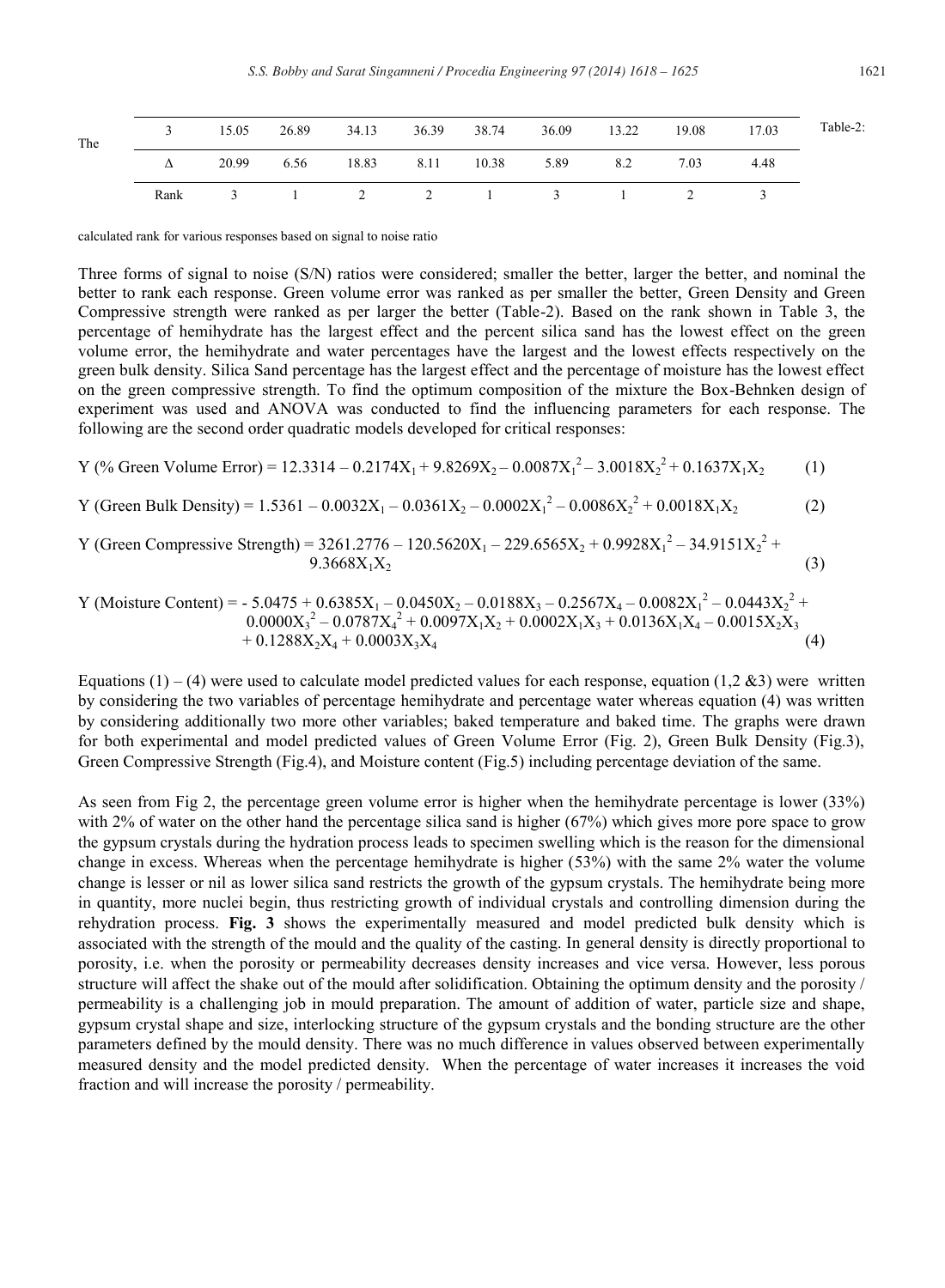| The |      |       | 15.05 26.89 34.13 |  |  | 36.39 38.74 36.09 13.22 19.08 17.03 |        | Table-2: |
|-----|------|-------|-------------------|--|--|-------------------------------------|--------|----------|
|     | Δ    | 20.99 |                   |  |  | 6.56 18.83 8.11 10.38 5.89 8.2 7.03 | - 4.48 |          |
|     | Rank |       |                   |  |  | 3 1 2 2 1 3 1 2 3                   |        |          |

calculated rank for various responses based on signal to noise ratio

Three forms of signal to noise (S/N) ratios were considered; smaller the better, larger the better, and nominal the better to rank each response. Green volume error was ranked as per smaller the better, Green Density and Green Compressive strength were ranked as per larger the better (Table-2). Based on the rank shown in Table 3, the percentage of hemihydrate has the largest effect and the percent silica sand has the lowest effect on the green volume error, the hemihydrate and water percentages have the largest and the lowest effects respectively on the green bulk density. Silica Sand percentage has the largest effect and the percentage of moisture has the lowest effect on the green compressive strength. To find the optimum composition of the mixture the Box-Behnken design of experiment was used and ANOVA was conducted to find the influencing parameters for each response. The following are the second order quadratic models developed for critical responses:

Y (%) Green Volume Error) = 
$$
12.3314 - 0.2174X_1 + 9.8269X_2 - 0.0087X_1^2 - 3.0018X_2^2 + 0.1637X_1X_2
$$
 (1)

Y (Green Bulk Density) = 
$$
1.5361 - 0.0032X_1 - 0.0361X_2 - 0.0002X_1^2 - 0.0086X_2^2 + 0.0018X_1X_2
$$
 (2)

Y (Green Compressive Strength) =  $3261.2776 - 120.5620X_1 - 229.6565X_2 + 0.9928X_1^2 - 34.9151X_2^2 +$  $9.3668X_1X_2$  (3)

Y (Moisture Content) = - 5.0475 + 0.6385X<sup>1</sup> – 0.0450X<sup>2</sup> – 0.0188X<sup>3</sup> – 0.2567X<sup>4</sup> – 0.0082X<sup>1</sup> 2 – 0.0443X<sup>2</sup> 2 + 0.0000X<sup>3</sup> 2 – 0.0787X<sup>4</sup> 2 + 0.0097X1X<sup>2</sup> + 0.0002X1X<sup>3</sup> + 0.0136X1X<sup>4</sup> – 0.0015X2X<sup>3</sup> + 0.1288X2X<sup>4</sup> + 0.0003X3X4 (4)

Equations (1) – (4) were used to calculate model predicted values for each response, equation (1,2 &3) were written by considering the two variables of percentage hemihydrate and percentage water whereas equation (4) was written by considering additionally two more other variables; baked temperature and baked time. The graphs were drawn for both experimental and model predicted values of Green Volume Error (Fig. 2), Green Bulk Density (Fig.3), Green Compressive Strength (Fig.4), and Moisture content (Fig.5) including percentage deviation of the same.

As seen from Fig 2, the percentage green volume error is higher when the hemihydrate percentage is lower (33%) with 2% of water on the other hand the percentage silica sand is higher (67%) which gives more pore space to grow the gypsum crystals during the hydration process leads to specimen swelling which is the reason for the dimensional change in excess. Whereas when the percentage hemihydrate is higher (53%) with the same 2% water the volume change is lesser or nil as lower silica sand restricts the growth of the gypsum crystals. The hemihydrate being more in quantity, more nuclei begin, thus restricting growth of individual crystals and controlling dimension during the rehydration process. **Fig. 3** shows the experimentally measured and model predicted bulk density which is associated with the strength of the mould and the quality of the casting. In general density is directly proportional to porosity, i.e. when the porosity or permeability decreases density increases and vice versa. However, less porous structure will affect the shake out of the mould after solidification. Obtaining the optimum density and the porosity / permeability is a challenging job in mould preparation. The amount of addition of water, particle size and shape, gypsum crystal shape and size, interlocking structure of the gypsum crystals and the bonding structure are the other parameters defined by the mould density. There was no much difference in values observed between experimentally measured density and the model predicted density. When the percentage of water increases it increases the void fraction and will increase the porosity / permeability.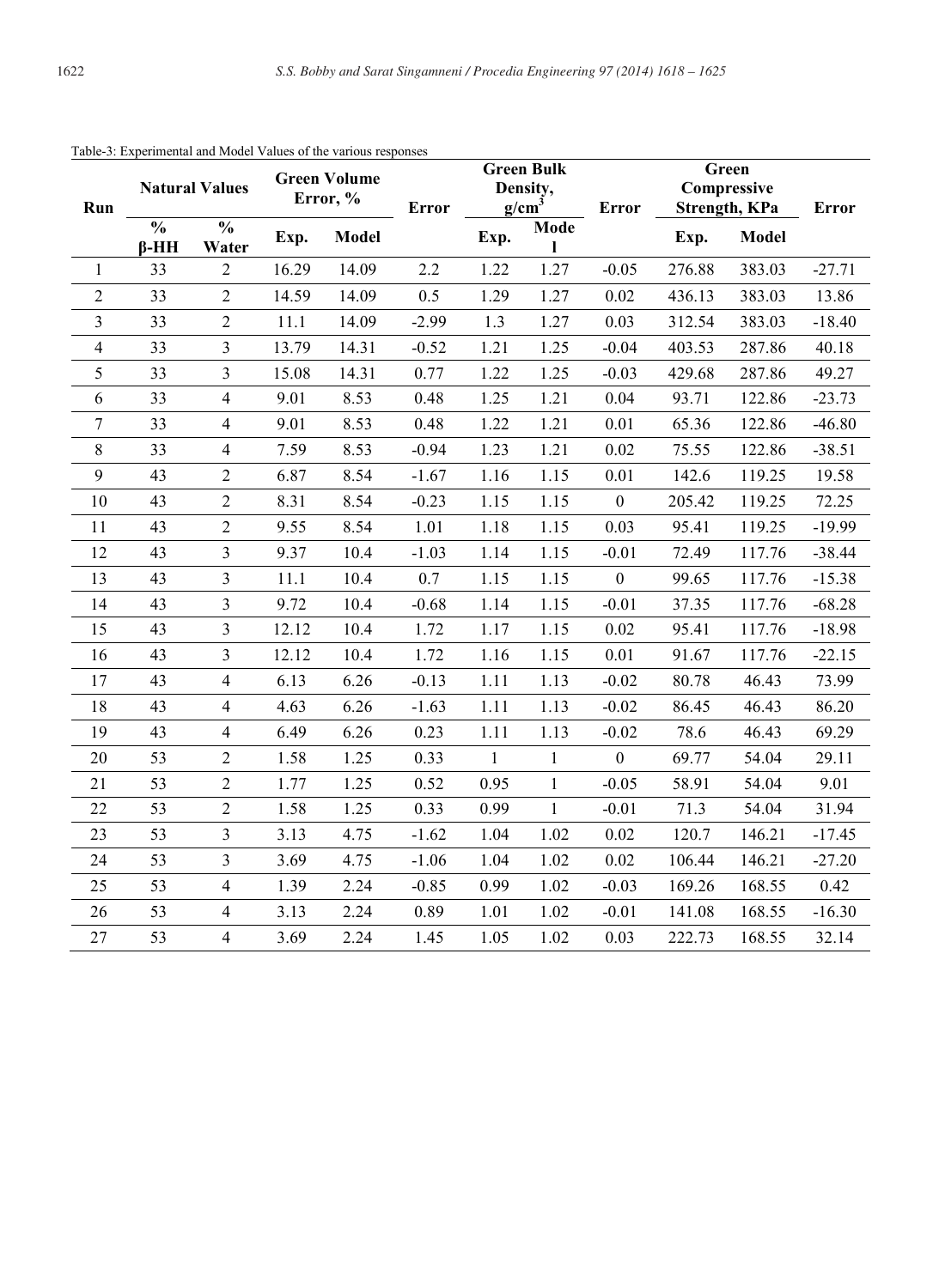| Run                      | <b>Natural Values</b>        |                        | <b>Green Volume</b><br>Error, % |              | Error   | <b>Green Bulk</b><br>Density,<br>g/cm <sup>3</sup> |              | Error            | Green<br>Compressive<br>Strength, KPa |              | <b>Error</b> |
|--------------------------|------------------------------|------------------------|---------------------------------|--------------|---------|----------------------------------------------------|--------------|------------------|---------------------------------------|--------------|--------------|
|                          | $\frac{0}{0}$<br>$\beta$ -HH | $\frac{0}{0}$<br>Water | Exp.                            | <b>Model</b> |         | Exp.                                               | Mode<br>1    |                  | Exp.                                  | <b>Model</b> |              |
| $\mathbf{1}$             | 33                           | $\overline{2}$         | 16.29                           | 14.09        | 2.2     | 1.22                                               | 1.27         | $-0.05$          | 276.88                                | 383.03       | $-27.71$     |
| $\overline{2}$           | 33                           | $\overline{2}$         | 14.59                           | 14.09        | 0.5     | 1.29                                               | 1.27         | 0.02             | 436.13                                | 383.03       | 13.86        |
| $\overline{3}$           | 33                           | $\overline{2}$         | 11.1                            | 14.09        | $-2.99$ | 1.3                                                | 1.27         | 0.03             | 312.54                                | 383.03       | $-18.40$     |
| $\overline{\mathcal{L}}$ | 33                           | $\mathfrak{Z}$         | 13.79                           | 14.31        | $-0.52$ | 1.21                                               | 1.25         | $-0.04$          | 403.53                                | 287.86       | 40.18        |
| 5                        | 33                           | $\overline{3}$         | 15.08                           | 14.31        | 0.77    | 1.22                                               | 1.25         | $-0.03$          | 429.68                                | 287.86       | 49.27        |
| 6                        | 33                           | $\overline{4}$         | 9.01                            | 8.53         | 0.48    | 1.25                                               | 1.21         | 0.04             | 93.71                                 | 122.86       | $-23.73$     |
| $\tau$                   | 33                           | $\overline{4}$         | 9.01                            | 8.53         | 0.48    | 1.22                                               | 1.21         | 0.01             | 65.36                                 | 122.86       | $-46.80$     |
| 8                        | 33                           | $\overline{4}$         | 7.59                            | 8.53         | $-0.94$ | 1.23                                               | 1.21         | 0.02             | 75.55                                 | 122.86       | $-38.51$     |
| 9                        | 43                           | $\sqrt{2}$             | 6.87                            | 8.54         | $-1.67$ | 1.16                                               | 1.15         | 0.01             | 142.6                                 | 119.25       | 19.58        |
| 10                       | 43                           | $\overline{2}$         | 8.31                            | 8.54         | $-0.23$ | 1.15                                               | 1.15         | $\boldsymbol{0}$ | 205.42                                | 119.25       | 72.25        |
| 11                       | 43                           | $\overline{2}$         | 9.55                            | 8.54         | 1.01    | 1.18                                               | 1.15         | 0.03             | 95.41                                 | 119.25       | $-19.99$     |
| 12                       | 43                           | $\mathfrak{Z}$         | 9.37                            | 10.4         | $-1.03$ | 1.14                                               | 1.15         | $-0.01$          | 72.49                                 | 117.76       | $-38.44$     |
| 13                       | 43                           | $\mathfrak{Z}$         | 11.1                            | 10.4         | 0.7     | 1.15                                               | 1.15         | $\boldsymbol{0}$ | 99.65                                 | 117.76       | $-15.38$     |
| 14                       | 43                           | $\overline{3}$         | 9.72                            | 10.4         | $-0.68$ | 1.14                                               | 1.15         | $-0.01$          | 37.35                                 | 117.76       | $-68.28$     |
| 15                       | 43                           | $\overline{3}$         | 12.12                           | 10.4         | 1.72    | 1.17                                               | 1.15         | 0.02             | 95.41                                 | 117.76       | $-18.98$     |
| 16                       | 43                           | $\overline{3}$         | 12.12                           | 10.4         | 1.72    | 1.16                                               | 1.15         | 0.01             | 91.67                                 | 117.76       | $-22.15$     |
| 17                       | 43                           | $\overline{4}$         | 6.13                            | 6.26         | $-0.13$ | 1.11                                               | 1.13         | $-0.02$          | 80.78                                 | 46.43        | 73.99        |
| 18                       | 43                           | $\overline{4}$         | 4.63                            | 6.26         | $-1.63$ | 1.11                                               | 1.13         | $-0.02$          | 86.45                                 | 46.43        | 86.20        |
| 19                       | 43                           | $\overline{4}$         | 6.49                            | 6.26         | 0.23    | 1.11                                               | 1.13         | $-0.02$          | 78.6                                  | 46.43        | 69.29        |
| 20                       | 53                           | $\overline{2}$         | 1.58                            | 1.25         | 0.33    | $\mathbf{1}$                                       | $\mathbf{1}$ | $\overline{0}$   | 69.77                                 | 54.04        | 29.11        |
| 21                       | 53                           | $\sqrt{2}$             | 1.77                            | 1.25         | 0.52    | 0.95                                               | $\mathbf{1}$ | $-0.05$          | 58.91                                 | 54.04        | 9.01         |
| 22                       | 53                           | $\overline{2}$         | 1.58                            | 1.25         | 0.33    | 0.99                                               | $\mathbf{1}$ | $-0.01$          | 71.3                                  | 54.04        | 31.94        |
| 23                       | 53                           | $\mathfrak{Z}$         | 3.13                            | 4.75         | $-1.62$ | 1.04                                               | 1.02         | $0.02\,$         | 120.7                                 | 146.21       | $-17.45$     |
| 24                       | 53                           | $\overline{3}$         | 3.69                            | 4.75         | $-1.06$ | 1.04                                               | 1.02         | 0.02             | 106.44                                | 146.21       | $-27.20$     |
| 25                       | 53                           | $\overline{4}$         | 1.39                            | 2.24         | $-0.85$ | 0.99                                               | 1.02         | $-0.03$          | 169.26                                | 168.55       | 0.42         |
| 26                       | 53                           | $\overline{4}$         | 3.13                            | 2.24         | 0.89    | 1.01                                               | 1.02         | $-0.01$          | 141.08                                | 168.55       | $-16.30$     |
| 27                       | 53                           | $\overline{4}$         | 3.69                            | 2.24         | 1.45    | 1.05                                               | 1.02         | 0.03             | 222.73                                | 168.55       | 32.14        |

## Table-3: Experimental and Model Values of the various responses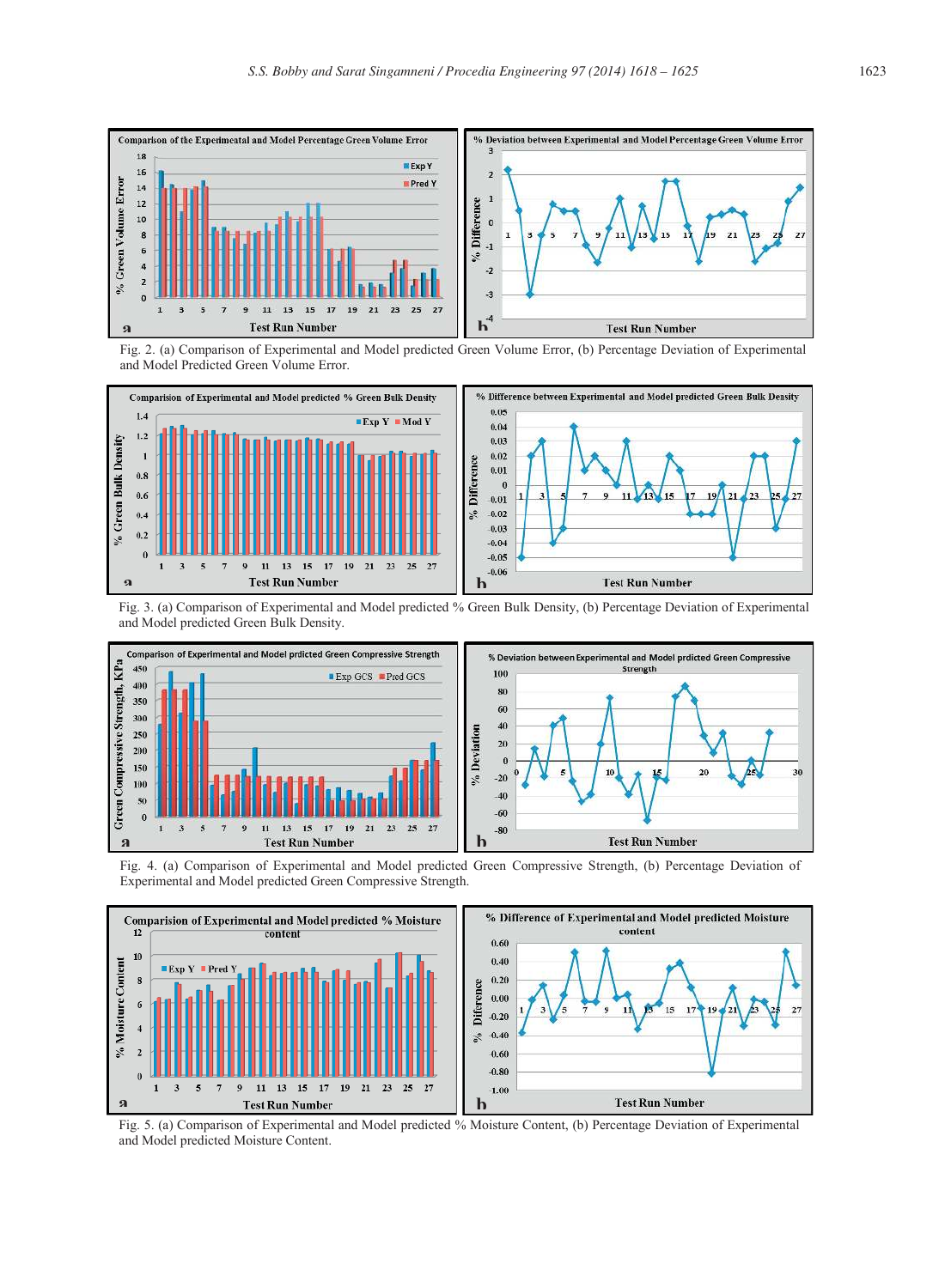

Fig. 2. (a) Comparison of Experimental and Model predicted Green Volume Error, (b) Percentage Deviation of Experimental and Model Predicted Green Volume Error.



Fig. 3. (a) Comparison of Experimental and Model predicted % Green Bulk Density, (b) Percentage Deviation of Experimental and Model predicted Green Bulk Density.



Fig. 4. (a) Comparison of Experimental and Model predicted Green Compressive Strength, (b) Percentage Deviation of Experimental and Model predicted Green Compressive Strength.



Fig. 5. (a) Comparison of Experimental and Model predicted % Moisture Content, (b) Percentage Deviation of Experimental and Model predicted Moisture Content.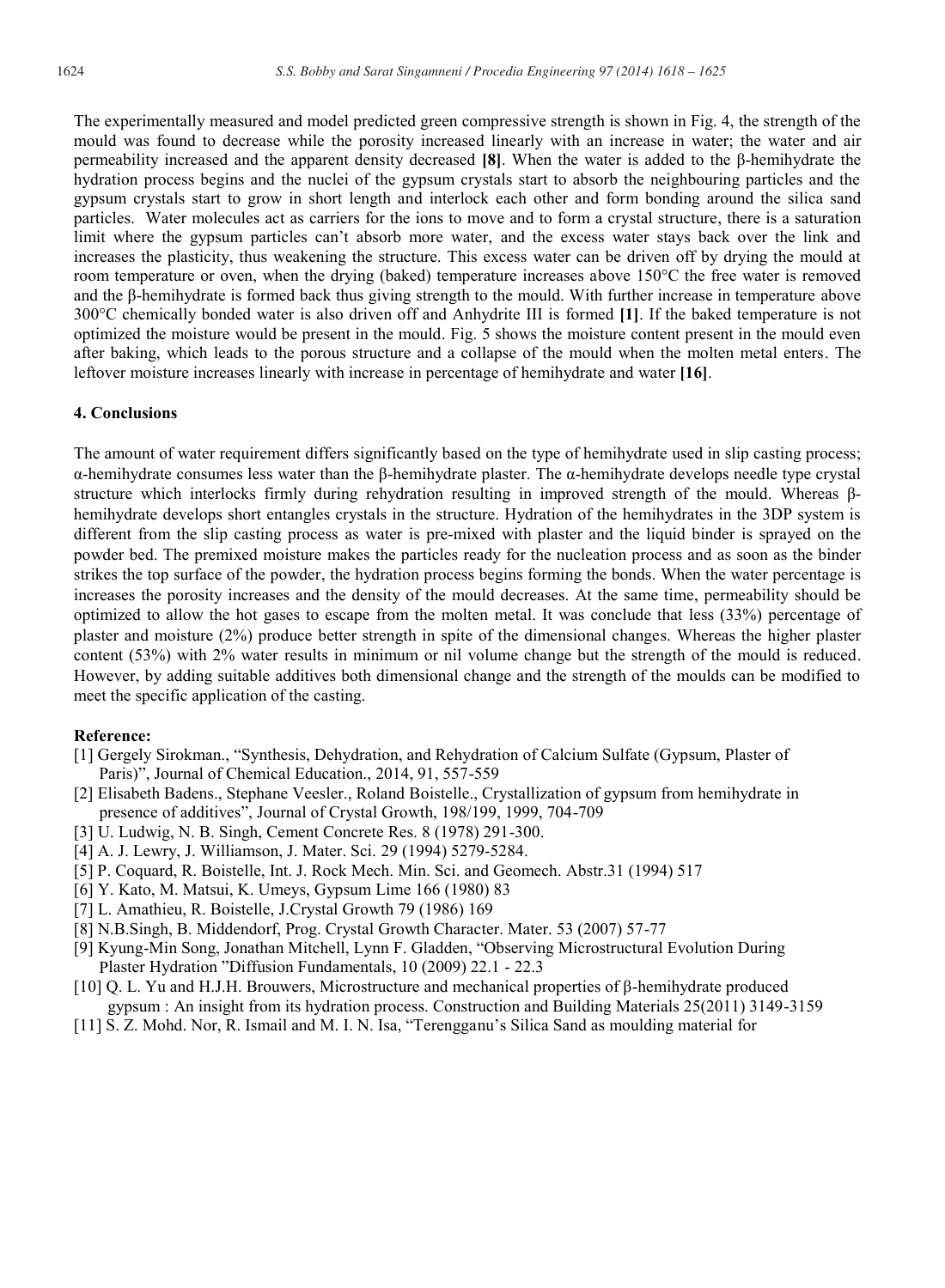The experimentally measured and model predicted green compressive strength is shown in Fig. 4, the strength of the mould was found to decrease while the porosity increased linearly with an increase in water; the water and air permeability increased and the apparent density decreased **[8]**. When the water is added to the β-hemihydrate the hydration process begins and the nuclei of the gypsum crystals start to absorb the neighbouring particles and the gypsum crystals start to grow in short length and interlock each other and form bonding around the silica sand particles. Water molecules act as carriers for the ions to move and to form a crystal structure, there is a saturation limit where the gypsum particles can't absorb more water, and the excess water stays back over the link and increases the plasticity, thus weakening the structure. This excess water can be driven off by drying the mould at room temperature or oven, when the drying (baked) temperature increases above 150°C the free water is removed and the β-hemihydrate is formed back thus giving strength to the mould. With further increase in temperature above 300°C chemically bonded water is also driven off and Anhydrite III is formed **[1]**. If the baked temperature is not optimized the moisture would be present in the mould. Fig. 5 shows the moisture content present in the mould even after baking, which leads to the porous structure and a collapse of the mould when the molten metal enters. The leftover moisture increases linearly with increase in percentage of hemihydrate and water **[16]**.

#### **4. Conclusions**

The amount of water requirement differs significantly based on the type of hemihydrate used in slip casting process; α-hemihydrate consumes less water than the β-hemihydrate plaster. The α-hemihydrate develops needle type crystal structure which interlocks firmly during rehydration resulting in improved strength of the mould. Whereas βhemihydrate develops short entangles crystals in the structure. Hydration of the hemihydrates in the 3DP system is different from the slip casting process as water is pre-mixed with plaster and the liquid binder is sprayed on the powder bed. The premixed moisture makes the particles ready for the nucleation process and as soon as the binder strikes the top surface of the powder, the hydration process begins forming the bonds. When the water percentage is increases the porosity increases and the density of the mould decreases. At the same time, permeability should be optimized to allow the hot gases to escape from the molten metal. It was conclude that less (33%) percentage of plaster and moisture (2%) produce better strength in spite of the dimensional changes. Whereas the higher plaster content (53%) with 2% water results in minimum or nil volume change but the strength of the mould is reduced. However, by adding suitable additives both dimensional change and the strength of the moulds can be modified to meet the specific application of the casting.

### **Reference:**

- [1] Gergely Sirokman., "Synthesis, Dehydration, and Rehydration of Calcium Sulfate (Gypsum, Plaster of Paris)", Journal of Chemical Education., 2014, 91, 557-559
- [2] Elisabeth Badens., Stephane Veesler., Roland Boistelle., Crystallization of gypsum from hemihydrate in presence of additives", Journal of Crystal Growth, 198/199, 1999, 704-709
- [3] U. Ludwig, N. B. Singh, Cement Concrete Res. 8 (1978) 291-300.
- [4] A. J. Lewry, J. Williamson, J. Mater. Sci. 29 (1994) 5279-5284.
- [5] P. Coquard, R. Boistelle, Int. J. Rock Mech. Min. Sci. and Geomech. Abstr.31 (1994) 517
- [6] Y. Kato, M. Matsui, K. Umeys, Gypsum Lime 166 (1980) 83
- [7] L. Amathieu, R. Boistelle, J.Crystal Growth 79 (1986) 169
- [8] N.B.Singh, B. Middendorf, Prog. Crystal Growth Character. Mater. 53 (2007) 57-77
- [9] Kyung-Min Song, Jonathan Mitchell, Lynn F. Gladden, "Observing Microstructural Evolution During Plaster Hydration "Diffusion Fundamentals, 10 (2009) 22.1 - 22.3
- [10] Q. L. Yu and H.J.H. Brouwers, Microstructure and mechanical properties of β-hemihydrate produced gypsum : An insight from its hydration process. Construction and Building Materials 25(2011) 3149-3159
- [11] S. Z. Mohd. Nor, R. Ismail and M. I. N. Isa, "Terengganu's Silica Sand as moulding material for